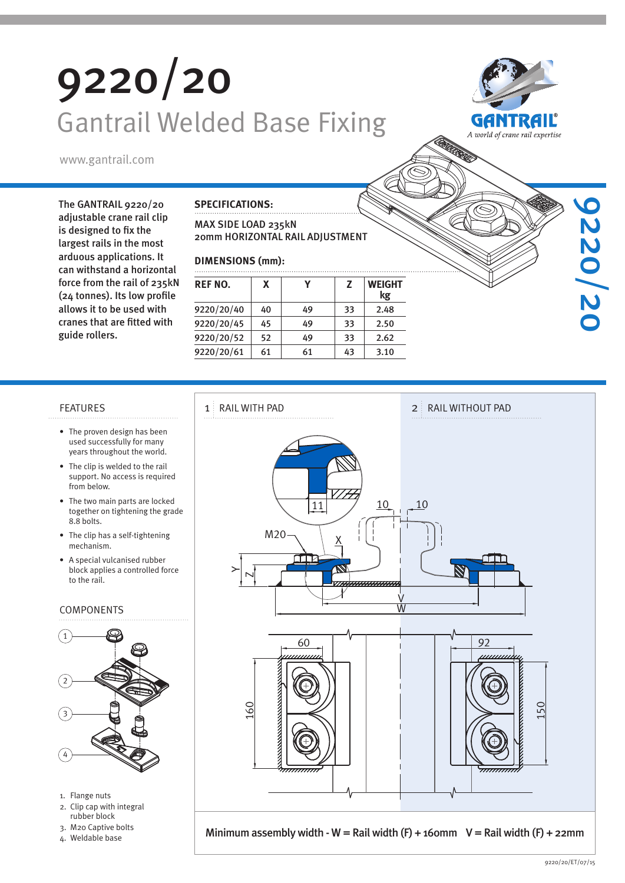# 9220/20 Gantrail Welded Base Fixing



9220/20

www.gantrail.com

The GANTRAIL 9220/20 adjustable crane rail clip is designed to fix the largest rails in the most arduous applications. It can withstand a horizontal force from the rail of 235kN (24 tonnes). Its low profile allows it to be used with cranes that are fitted with guide rollers.

#### **SPECIFICATIONS:**

### MAX SIDE LOAD 235kN 20mm HORIZONTAL RAIL ADJUSTMENT

### **DIMENSIONS (mm):**

| <b>REF NO.</b> | x  |    | Z  | <b>WEIGHT</b><br>kg |  |  |  |
|----------------|----|----|----|---------------------|--|--|--|
| 9220/20/40     | 40 | 49 | 33 | 2.48                |  |  |  |
| 9220/20/45     | 45 | 49 | 33 | 2.50                |  |  |  |
| 9220/20/52     | 52 | 49 | 33 | 2.62                |  |  |  |
| 9220/20/61     | 61 | 61 | 43 | 3.10                |  |  |  |

- The proven design has been used successfully for many years throughout the world.
- The clip is welded to the rail support. No access is required from below.
- The two main parts are locked together on tightening the grade 8.8 bolts.
- The clip has a self-tightening mechanism.
- A special vulcanised rubber block applies a controlled force to the rail.

#### COMPONENTS



- 1. Flange nuts
- 2. Clip cap with integral
- rubber block 3. M20 Captive bolts
-